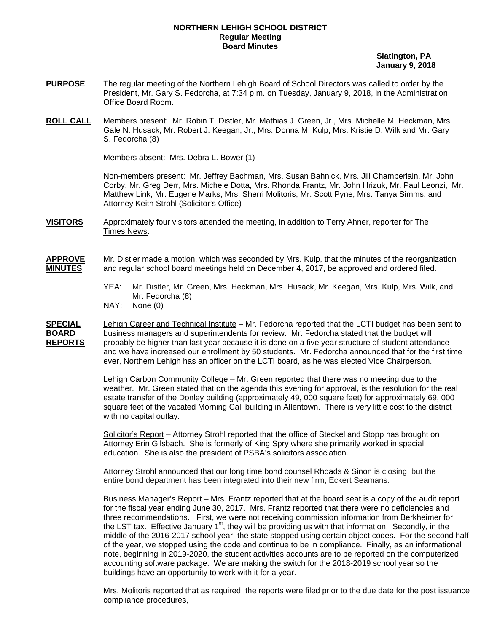## **NORTHERN LEHIGH SCHOOL DISTRICT Regular Meeting Board Minutes**

 **Slatington, PA January 9, 2018** 

- **PURPOSE** The regular meeting of the Northern Lehigh Board of School Directors was called to order by the President, Mr. Gary S. Fedorcha, at 7:34 p.m. on Tuesday, January 9, 2018, in the Administration Office Board Room.
- **ROLL CALL** Members present: Mr. Robin T. Distler, Mr. Mathias J. Green, Jr., Mrs. Michelle M. Heckman, Mrs. Gale N. Husack, Mr. Robert J. Keegan, Jr., Mrs. Donna M. Kulp, Mrs. Kristie D. Wilk and Mr. Gary S. Fedorcha (8)

Members absent: Mrs. Debra L. Bower (1)

Non-members present: Mr. Jeffrey Bachman, Mrs. Susan Bahnick, Mrs. Jill Chamberlain, Mr. John Corby, Mr. Greg Derr, Mrs. Michele Dotta, Mrs. Rhonda Frantz, Mr. John Hrizuk, Mr. Paul Leonzi, Mr. Matthew Link, Mr. Eugene Marks, Mrs. Sherri Molitoris, Mr. Scott Pyne, Mrs. Tanya Simms, and Attorney Keith Strohl (Solicitor's Office)

**VISITORS** Approximately four visitors attended the meeting, in addition to Terry Ahner, reporter for The Times News.

**APPROVE** Mr. Distler made a motion, which was seconded by Mrs. Kulp, that the minutes of the reorganization **MINUTES** and regular school board meetings held on December 4, 2017, be approved and ordered filed.

- YEA: Mr. Distler, Mr. Green, Mrs. Heckman, Mrs. Husack, Mr. Keegan, Mrs. Kulp, Mrs. Wilk, and Mr. Fedorcha (8)
- NAY: None (0)

**SPECIAL** Lehigh Career and Technical Institute – Mr. Fedorcha reported that the LCTI budget has been sent to **BOARD** business managers and superintendents for review. Mr. Fedorcha stated that the budget will REPORTS probably be higher than last year because it is done on a five year structure of student attendance and we have increased our enrollment by 50 students. Mr. Fedorcha announced that for the first time ever, Northern Lehigh has an officer on the LCTI board, as he was elected Vice Chairperson.

> Lehigh Carbon Community College – Mr. Green reported that there was no meeting due to the weather. Mr. Green stated that on the agenda this evening for approval, is the resolution for the real estate transfer of the Donley building (approximately 49, 000 square feet) for approximately 69, 000 square feet of the vacated Morning Call building in Allentown. There is very little cost to the district with no capital outlay.

Solicitor's Report - Attorney Strohl reported that the office of Steckel and Stopp has brought on Attorney Erin Gilsbach. She is formerly of King Spry where she primarily worked in special education. She is also the president of PSBA's solicitors association.

Attorney Strohl announced that our long time bond counsel Rhoads & Sinon is closing, but the entire bond department has been integrated into their new firm, Eckert Seamans.

Business Manager's Report – Mrs. Frantz reported that at the board seat is a copy of the audit report for the fiscal year ending June 30, 2017. Mrs. Frantz reported that there were no deficiencies and three recommendations. First, we were not receiving commission information from Berkheimer for the LST tax. Effective January  $1<sup>st</sup>$ , they will be providing us with that information. Secondly, in the middle of the 2016-2017 school year, the state stopped using certain object codes. For the second half of the year, we stopped using the code and continue to be in compliance. Finally, as an informational note, beginning in 2019-2020, the student activities accounts are to be reported on the computerized accounting software package. We are making the switch for the 2018-2019 school year so the buildings have an opportunity to work with it for a year.

Mrs. Molitoris reported that as required, the reports were filed prior to the due date for the post issuance compliance procedures,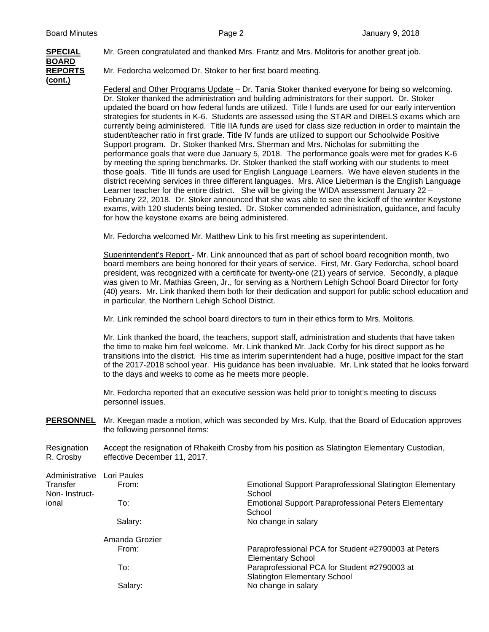## **BOARD (cont.)**

**SPECIAL** Mr. Green congratulated and thanked Mrs. Frantz and Mrs. Molitoris for another great job.

**REPORTS** Mr. Fedorcha welcomed Dr. Stoker to her first board meeting.

 Federal and Other Programs Update – Dr. Tania Stoker thanked everyone for being so welcoming. Dr. Stoker thanked the administration and building administrators for their support. Dr. Stoker updated the board on how federal funds are utilized. Title I funds are used for our early intervention strategies for students in K-6. Students are assessed using the STAR and DIBELS exams which are currently being administered. Title IIA funds are used for class size reduction in order to maintain the student/teacher ratio in first grade. Title IV funds are utilized to support our Schoolwide Positive Support program. Dr. Stoker thanked Mrs. Sherman and Mrs. Nicholas for submitting the performance goals that were due January 5, 2018. The performance goals were met for grades K-6 by meeting the spring benchmarks. Dr. Stoker thanked the staff working with our students to meet those goals. Title III funds are used for English Language Learners. We have eleven students in the district receiving services in three different languages. Mrs. Alice Lieberman is the English Language Learner teacher for the entire district. She will be giving the WIDA assessment January 22 – February 22, 2018. Dr. Stoker announced that she was able to see the kickoff of the winter Keystone exams, with 120 students being tested. Dr. Stoker commended administration, guidance, and faculty for how the keystone exams are being administered.

Mr. Fedorcha welcomed Mr. Matthew Link to his first meeting as superintendent.

Superintendent's Report - Mr. Link announced that as part of school board recognition month, two board members are being honored for their years of service. First, Mr. Gary Fedorcha, school board president, was recognized with a certificate for twenty-one (21) years of service. Secondly, a plaque was given to Mr. Mathias Green, Jr., for serving as a Northern Lehigh School Board Director for forty (40) years. Mr. Link thanked them both for their dedication and support for public school education and in particular, the Northern Lehigh School District.

Mr. Link reminded the school board directors to turn in their ethics form to Mrs. Molitoris.

Mr. Link thanked the board, the teachers, support staff, administration and students that have taken the time to make him feel welcome. Mr. Link thanked Mr. Jack Corby for his direct support as he transitions into the district. His time as interim superintendent had a huge, positive impact for the start of the 2017-2018 school year. His guidance has been invaluable. Mr. Link stated that he looks forward to the days and weeks to come as he meets more people.

Mr. Fedorcha reported that an executive session was held prior to tonight's meeting to discuss personnel issues.

**PERSONNEL** Mr. Keegan made a motion, which was seconded by Mrs. Kulp, that the Board of Education approves the following personnel items:

Resignation Accept the resignation of Rhakeith Crosby from his position as Slatington Elementary Custodian, R. Crosby effective December 11, 2017.

| Administrative | Lori Paules    |                                                                 |
|----------------|----------------|-----------------------------------------------------------------|
| Transfer       | From:          | <b>Emotional Support Paraprofessional Slatington Elementary</b> |
| Non-Instruct-  |                | School                                                          |
| ional          | To:            | <b>Emotional Support Paraprofessional Peters Elementary</b>     |
|                |                | School                                                          |
|                | Salary:        | No change in salary                                             |
|                | Amanda Grozier |                                                                 |
|                | From:          | Paraprofessional PCA for Student #2790003 at Peters             |
|                |                | <b>Elementary School</b>                                        |
|                | To:            | Paraprofessional PCA for Student #2790003 at                    |
|                |                | <b>Slatington Elementary School</b>                             |
|                | Salary:        | No change in salary                                             |
|                |                |                                                                 |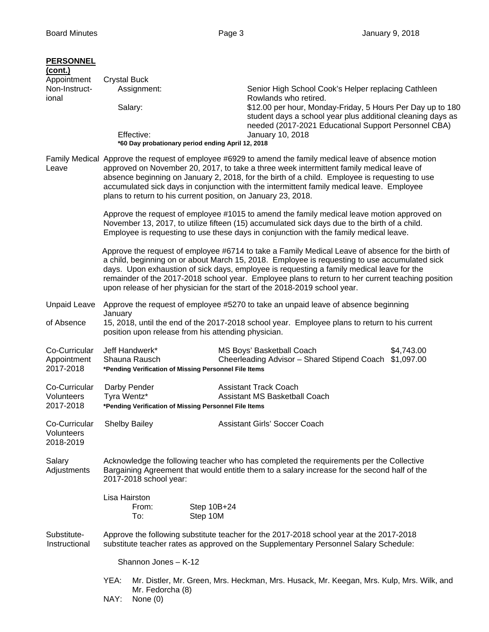| <b>PERSONNEL</b><br>(cont.)<br>Appointment<br>Non-Instruct-<br>ional                                                                     | <b>Crystal Buck</b>                                                                                                                                                                                                                                                                                                                                                                                                                                                              | Assignment:<br>Salary:<br>Effective:<br>*60 Day probationary period ending April 12, 2018 |                         | Senior High School Cook's Helper replacing Cathleen<br>Rowlands who retired.<br>\$12.00 per hour, Monday-Friday, 5 Hours Per Day up to 180<br>student days a school year plus additional cleaning days as<br>needed (2017-2021 Educational Support Personnel CBA)<br>January 10, 2018 |            |  |
|------------------------------------------------------------------------------------------------------------------------------------------|----------------------------------------------------------------------------------------------------------------------------------------------------------------------------------------------------------------------------------------------------------------------------------------------------------------------------------------------------------------------------------------------------------------------------------------------------------------------------------|-------------------------------------------------------------------------------------------|-------------------------|---------------------------------------------------------------------------------------------------------------------------------------------------------------------------------------------------------------------------------------------------------------------------------------|------------|--|
| Leave                                                                                                                                    | Family Medical Approve the request of employee #6929 to amend the family medical leave of absence motion<br>approved on November 20, 2017, to take a three week intermittent family medical leave of<br>absence beginning on January 2, 2018, for the birth of a child. Employee is requesting to use<br>accumulated sick days in conjunction with the intermittent family medical leave. Employee<br>plans to return to his current position, on January 23, 2018.              |                                                                                           |                         |                                                                                                                                                                                                                                                                                       |            |  |
|                                                                                                                                          | Approve the request of employee #1015 to amend the family medical leave motion approved on<br>November 13, 2017, to utilize fifteen (15) accumulated sick days due to the birth of a child.<br>Employee is requesting to use these days in conjunction with the family medical leave.                                                                                                                                                                                            |                                                                                           |                         |                                                                                                                                                                                                                                                                                       |            |  |
|                                                                                                                                          | Approve the request of employee #6714 to take a Family Medical Leave of absence for the birth of<br>a child, beginning on or about March 15, 2018. Employee is requesting to use accumulated sick<br>days. Upon exhaustion of sick days, employee is requesting a family medical leave for the<br>remainder of the 2017-2018 school year. Employee plans to return to her current teaching position<br>upon release of her physician for the start of the 2018-2019 school year. |                                                                                           |                         |                                                                                                                                                                                                                                                                                       |            |  |
| <b>Unpaid Leave</b>                                                                                                                      |                                                                                                                                                                                                                                                                                                                                                                                                                                                                                  |                                                                                           |                         | Approve the request of employee #5270 to take an unpaid leave of absence beginning                                                                                                                                                                                                    |            |  |
| of Absence                                                                                                                               | January<br>15, 2018, until the end of the 2017-2018 school year. Employee plans to return to his current<br>position upon release from his attending physician.                                                                                                                                                                                                                                                                                                                  |                                                                                           |                         |                                                                                                                                                                                                                                                                                       |            |  |
| Co-Curricular<br>Appointment<br>2017-2018                                                                                                |                                                                                                                                                                                                                                                                                                                                                                                                                                                                                  | Jeff Handwerk*<br>Shauna Rausch<br>*Pending Verification of Missing Personnel File Items  |                         | MS Boys' Basketball Coach<br>Cheerleading Advisor - Shared Stipend Coach \$1,097.00                                                                                                                                                                                                   | \$4,743.00 |  |
| Co-Curricular<br>Volunteers<br>2017-2018                                                                                                 | Tyra Wentz*                                                                                                                                                                                                                                                                                                                                                                                                                                                                      | Darby Pender<br>*Pending Verification of Missing Personnel File Items                     |                         | <b>Assistant Track Coach</b><br>Assistant MS Basketball Coach                                                                                                                                                                                                                         |            |  |
| Co-Curricular<br>Volunteers<br>2018-2019                                                                                                 |                                                                                                                                                                                                                                                                                                                                                                                                                                                                                  | <b>Shelby Bailey</b>                                                                      |                         | <b>Assistant Girls' Soccer Coach</b>                                                                                                                                                                                                                                                  |            |  |
| Salary<br>Adjustments                                                                                                                    | Acknowledge the following teacher who has completed the requirements per the Collective<br>Bargaining Agreement that would entitle them to a salary increase for the second half of the<br>2017-2018 school year:                                                                                                                                                                                                                                                                |                                                                                           |                         |                                                                                                                                                                                                                                                                                       |            |  |
|                                                                                                                                          | Lisa Hairston                                                                                                                                                                                                                                                                                                                                                                                                                                                                    | From:<br>To:                                                                              | Step 10B+24<br>Step 10M |                                                                                                                                                                                                                                                                                       |            |  |
| Substitute-<br>Instructional                                                                                                             | Approve the following substitute teacher for the 2017-2018 school year at the 2017-2018<br>substitute teacher rates as approved on the Supplementary Personnel Salary Schedule:                                                                                                                                                                                                                                                                                                  |                                                                                           |                         |                                                                                                                                                                                                                                                                                       |            |  |
|                                                                                                                                          | Shannon Jones - K-12                                                                                                                                                                                                                                                                                                                                                                                                                                                             |                                                                                           |                         |                                                                                                                                                                                                                                                                                       |            |  |
| YEA:<br>Mr. Distler, Mr. Green, Mrs. Heckman, Mrs. Husack, Mr. Keegan, Mrs. Kulp, Mrs. Wilk, and<br>Mr. Fedorcha (8)<br>NAY:<br>None (0) |                                                                                                                                                                                                                                                                                                                                                                                                                                                                                  |                                                                                           |                         |                                                                                                                                                                                                                                                                                       |            |  |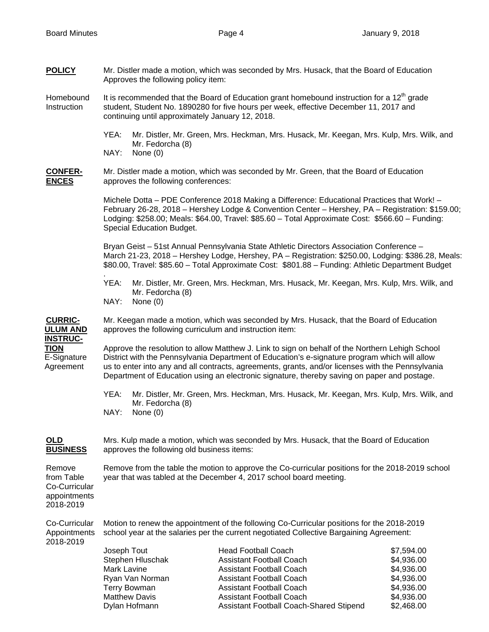**POLICY** Mr. Distler made a motion, which was seconded by Mrs. Husack, that the Board of Education Approves the following policy item:

Homebound It is recommended that the Board of Education grant homebound instruction for a 12<sup>th</sup> grade Instruction student, Student No. 1890280 for five hours per week, effective December 11, 2017 and continuing until approximately January 12, 2018.

- YEA: Mr. Distler, Mr. Green, Mrs. Heckman, Mrs. Husack, Mr. Keegan, Mrs. Kulp, Mrs. Wilk, and Mr. Fedorcha (8)
- NAY: None (0)

**CONFER-** Mr. Distler made a motion, which was seconded by Mr. Green, that the Board of Education **ENCES** approves the following conferences:

> Michele Dotta – PDE Conference 2018 Making a Difference: Educational Practices that Work! – February 26-28, 2018 – Hershey Lodge & Convention Center – Hershey, PA – Registration: \$159.00; Lodging: \$258.00; Meals: \$64.00, Travel: \$85.60 – Total Approximate Cost: \$566.60 – Funding: Special Education Budget.

> Bryan Geist – 51st Annual Pennsylvania State Athletic Directors Association Conference – March 21-23, 2018 – Hershey Lodge, Hershey, PA – Registration: \$250.00, Lodging: \$386.28, Meals: \$80.00, Travel: \$85.60 – Total Approximate Cost: \$801.88 – Funding: Athletic Department Budget

 YEA: Mr. Distler, Mr. Green, Mrs. Heckman, Mrs. Husack, Mr. Keegan, Mrs. Kulp, Mrs. Wilk, and Mr. Fedorcha (8)

NAY: None (0)

.

**CURRIC-** Mr. Keegan made a motion, which was seconded by Mrs. Husack, that the Board of Education **ULUM AND** approves the following curriculum and instruction item:  **INSTRUC-**

**TION** Approve the resolution to allow Matthew J. Link to sign on behalf of the Northern Lehigh School E-Signature District with the Pennsylvania Department of Education's e-signature program which will allow Agreement us to enter into any and all contracts, agreements, grants, and/or licenses with the Pennsylvania Department of Education using an electronic signature, thereby saving on paper and postage.

- YEA: Mr. Distler, Mr. Green, Mrs. Heckman, Mrs. Husack, Mr. Keegan, Mrs. Kulp, Mrs. Wilk, and Mr. Fedorcha (8) NAY: None (0)
- 

**OLD** Mrs. Kulp made a motion, which was seconded by Mrs. Husack, that the Board of Education **BUSINESS** approves the following old business items:

Remove Remove from the table the motion to approve the Co-curricular positions for the 2018-2019 school from Table year that was tabled at the December 4, 2017 school board meeting. Co-Curricular appointments 2018-2019

Co-Curricular Motion to renew the appointment of the following Co-Curricular positions for the 2018-2019 Appointments school year at the salaries per the current negotiated Collective Bargaining Agreement: 2018-2019

| Joseph Tout          | <b>Head Football Coach</b>              | \$7,594.00 |
|----------------------|-----------------------------------------|------------|
| Stephen Hluschak     | <b>Assistant Football Coach</b>         | \$4,936.00 |
| Mark Lavine          | <b>Assistant Football Coach</b>         | \$4,936.00 |
| Ryan Van Norman      | <b>Assistant Football Coach</b>         | \$4,936.00 |
| <b>Terry Bowman</b>  | <b>Assistant Football Coach</b>         | \$4,936.00 |
| <b>Matthew Davis</b> | <b>Assistant Football Coach</b>         | \$4,936.00 |
| Dylan Hofmann        | Assistant Football Coach-Shared Stipend | \$2,468.00 |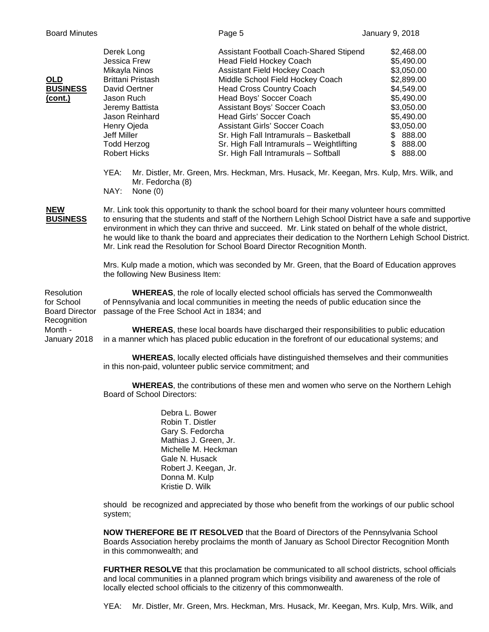| <b>OLD</b><br><b>BUSINESS</b><br>(cont.)                                                    | Derek Long<br>Jessica Frew<br>Mikayla Ninos<br>Brittani Pristash<br>David Oertner<br>Jason Ruch<br>Jeremy Battista<br>Jason Reinhard<br>Henry Ojeda<br><b>Jeff Miller</b><br><b>Todd Herzog</b><br><b>Robert Hicks</b><br>YEA:<br>Mr. Fedorcha (8)<br>NAY:<br>None $(0)$                                                                                                                                                                                                                                                                                                                                                                    | Assistant Football Coach-Shared Stipend<br><b>Head Field Hockey Coach</b><br>Assistant Field Hockey Coach<br>Middle School Field Hockey Coach<br><b>Head Cross Country Coach</b><br>Head Boys' Soccer Coach<br>Assistant Boys' Soccer Coach<br>Head Girls' Soccer Coach<br><b>Assistant Girls' Soccer Coach</b><br>Sr. High Fall Intramurals - Basketball<br>Sr. High Fall Intramurals - Weightlifting<br>Sr. High Fall Intramurals - Softball<br>Mr. Distler, Mr. Green, Mrs. Heckman, Mrs. Husack, Mr. Keegan, Mrs. Kulp, Mrs. Wilk, and | \$2,468.00<br>\$5,490.00<br>\$3,050.00<br>\$2,899.00<br>\$4,549.00<br>\$5,490.00<br>\$3,050.00<br>\$5,490.00<br>\$3,050.00<br>\$888.00<br>\$888.00<br>\$888.00 |  |  |
|---------------------------------------------------------------------------------------------|---------------------------------------------------------------------------------------------------------------------------------------------------------------------------------------------------------------------------------------------------------------------------------------------------------------------------------------------------------------------------------------------------------------------------------------------------------------------------------------------------------------------------------------------------------------------------------------------------------------------------------------------|--------------------------------------------------------------------------------------------------------------------------------------------------------------------------------------------------------------------------------------------------------------------------------------------------------------------------------------------------------------------------------------------------------------------------------------------------------------------------------------------------------------------------------------------|----------------------------------------------------------------------------------------------------------------------------------------------------------------|--|--|
| <b>NEW</b><br><b>BUSINESS</b>                                                               | Mr. Link took this opportunity to thank the school board for their many volunteer hours committed<br>to ensuring that the students and staff of the Northern Lehigh School District have a safe and supportive<br>environment in which they can thrive and succeed. Mr. Link stated on behalf of the whole district,<br>he would like to thank the board and appreciates their dedication to the Northern Lehigh School District.<br>Mr. Link read the Resolution for School Board Director Recognition Month.<br>Mrs. Kulp made a motion, which was seconded by Mr. Green, that the Board of Education approves                            |                                                                                                                                                                                                                                                                                                                                                                                                                                                                                                                                            |                                                                                                                                                                |  |  |
| Resolution<br>for School<br><b>Board Director</b><br>Recognition<br>Month -<br>January 2018 | the following New Business Item:<br><b>WHEREAS</b> , the role of locally elected school officials has served the Commonwealth<br>of Pennsylvania and local communities in meeting the needs of public education since the<br>passage of the Free School Act in 1834; and<br><b>WHEREAS</b> , these local boards have discharged their responsibilities to public education<br>in a manner which has placed public education in the forefront of our educational systems; and<br><b>WHEREAS, locally elected officials have distinguished themselves and their communities</b><br>in this non-paid, volunteer public service commitment; and |                                                                                                                                                                                                                                                                                                                                                                                                                                                                                                                                            |                                                                                                                                                                |  |  |
|                                                                                             |                                                                                                                                                                                                                                                                                                                                                                                                                                                                                                                                                                                                                                             |                                                                                                                                                                                                                                                                                                                                                                                                                                                                                                                                            |                                                                                                                                                                |  |  |

**WHEREAS**, the contributions of these men and women who serve on the Northern Lehigh Board of School Directors:

> Debra L. Bower Robin T. Distler Gary S. Fedorcha Mathias J. Green, Jr. Michelle M. Heckman Gale N. Husack Robert J. Keegan, Jr. Donna M. Kulp Kristie D. Wilk

should be recognized and appreciated by those who benefit from the workings of our public school system;

**NOW THEREFORE BE IT RESOLVED** that the Board of Directors of the Pennsylvania School Boards Association hereby proclaims the month of January as School Director Recognition Month in this commonwealth; and

**FURTHER RESOLVE** that this proclamation be communicated to all school districts, school officials and local communities in a planned program which brings visibility and awareness of the role of locally elected school officials to the citizenry of this commonwealth.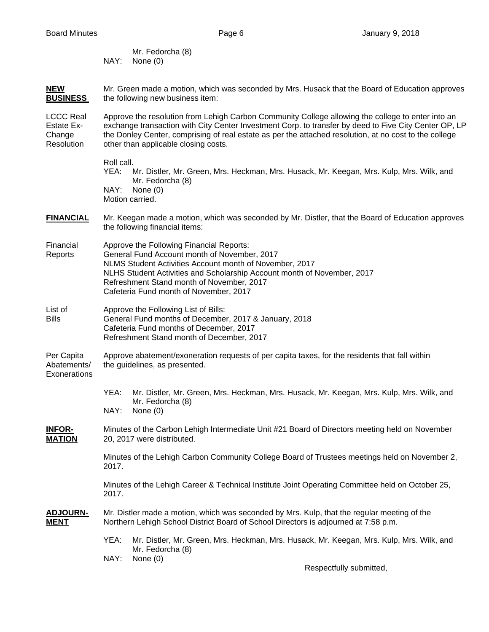Mr. Fedorcha (8) NAY: None (0)

**NEW** Mr. Green made a motion, which was seconded by Mrs. Husack that the Board of Education approves **BUSINESS** the following new business item:

LCCC Real Approve the resolution from Lehigh Carbon Community College allowing the college to enter into an Estate Ex- exchange transaction with City Center Investment Corp. to transfer by deed to Five City Center OP, LP Change the Donley Center, comprising of real estate as per the attached resolution, at no cost to the college Resolution other than applicable closing costs.

> Roll call. YEA: Mr. Distler, Mr. Green, Mrs. Heckman, Mrs. Husack, Mr. Keegan, Mrs. Kulp, Mrs. Wilk, and Mr. Fedorcha (8) NAY: None (0) Motion carried.

- **FINANCIAL** Mr. Keegan made a motion, which was seconded by Mr. Distler, that the Board of Education approves the following financial items:
- Financial Approve the Following Financial Reports: Reports General Fund Account month of November, 2017 NLMS Student Activities Account month of November, 2017 NLHS Student Activities and Scholarship Account month of November, 2017 Refreshment Stand month of November, 2017 Cafeteria Fund month of November, 2017
- List of **Approve the Following List of Bills:** Bills General Fund months of December, 2017 & January, 2018 Cafeteria Fund months of December, 2017 Refreshment Stand month of December, 2017

Per Capita Approve abatement/exoneration requests of per capita taxes, for the residents that fall within Abatements/ the guidelines, as presented. **Exonerations** 

- YEA: Mr. Distler, Mr. Green, Mrs. Heckman, Mrs. Husack, Mr. Keegan, Mrs. Kulp, Mrs. Wilk, and Mr. Fedorcha (8)
- NAY: None (0)
- **INFOR-** Minutes of the Carbon Lehigh Intermediate Unit #21 Board of Directors meeting held on November **MATION** 20, 2017 were distributed.

 Minutes of the Lehigh Carbon Community College Board of Trustees meetings held on November 2, 2017.

 Minutes of the Lehigh Career & Technical Institute Joint Operating Committee held on October 25, 2017.

- **ADJOURN-** Mr. Distler made a motion, which was seconded by Mrs. Kulp, that the regular meeting of the **MENT** Northern Lehigh School District Board of School Directors is adjourned at 7:58 p.m.
	- YEA: Mr. Distler, Mr. Green, Mrs. Heckman, Mrs. Husack, Mr. Keegan, Mrs. Kulp, Mrs. Wilk, and Mr. Fedorcha (8) NAY: None (0)

Respectfully submitted,